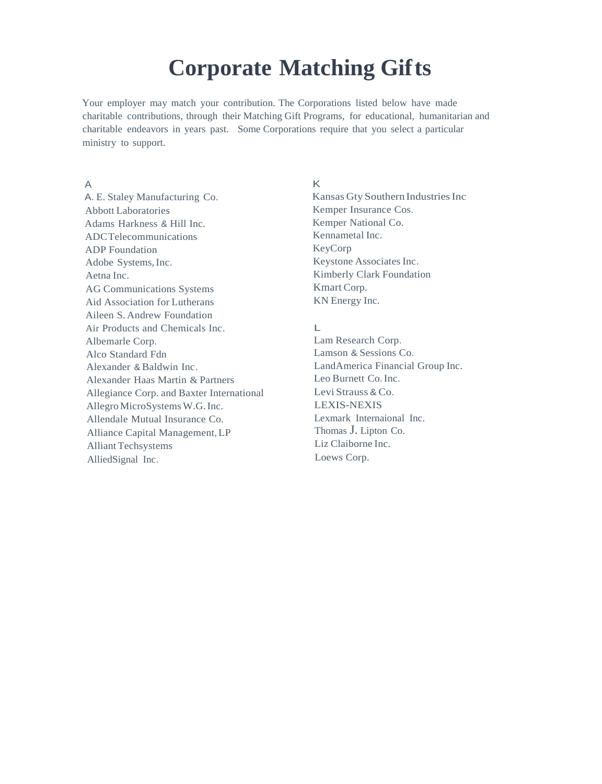# **Corporate Matching Gifts**

Your employer may match your contribution. The Corporations listed below have made charitable contributions, through their Matching Gift Programs, for educational, humanitarian and charitable endeavors in years past. Some Corporations require that you select a particular ministry to support.

# A

A. E. Staley Manufacturing Co. Abbott Laboratories Adams Harkness & Hill Inc. ADCTelecommunications ADP Foundation Adobe Systems,Inc. Aetna Inc. AG Communications Systems Aid Association for Lutherans Aileen S. Andrew Foundation Air Products and Chemicals Inc. Albemarle Corp. Alco Standard Fdn Alexander & Baldwin Inc. Alexander Haas Martin & Partners Allegiance Corp. and Baxter International Allegro MicroSystems W.G. Inc. Allendale Mutual Insurance Co. Alliance Capital Management,LP Alliant Techsystems AlliedSignal Inc.

# K

Kansas Gty Southern Industries Inc Kemper Insurance Cos. Kemper National Co. Kennametal Inc. KeyCorp Keystone Associates Inc. Kimberly Clark Foundation Kmart Corp. KN Energy Inc.

# $\mathbb{L}$

Lam Research Corp. Lamson & Sessions Co. LandAmerica Financial Group Inc. Leo Burnett Co.Inc. Levi Strauss & Co. LEXIS-NEXIS Lexmark Internaional Inc. Thomas J. Lipton Co. Liz Claiborne Inc. Loews Corp.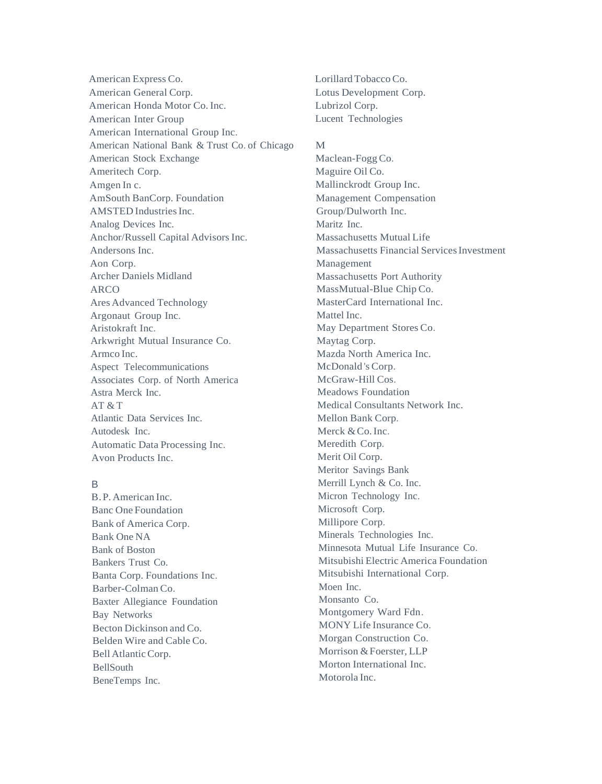American Express Co. American General Corp. American Honda Motor Co. Inc. American Inter Group American International Group Inc. American National Bank & Trust Co. of Chicago American Stock Exchange Ameritech Corp. Amgen In c. AmSouth BanCorp. Foundation AMSTED Industries Inc. Analog Devices Inc. Anchor/Russell Capital Advisors Inc. Andersons Inc. Aon Corp. Archer Daniels Midland ARCO Ares Advanced Technology Argonaut Group Inc. Aristokraft Inc. Arkwright Mutual Insurance Co. Armco Inc. Aspect Telecommunications Associates Corp. of North America Astra Merck Inc.  $AT & T$ Atlantic Data Services Inc. Autodesk Inc. Automatic Data Processing Inc. Avon Products Inc.

# B

B.P. American Inc. Banc One Foundation Bank of America Corp. Bank One NA Bank of Boston Bankers Trust Co. Banta Corp. Foundations Inc. Barber-Colman Co. Baxter Allegiance Foundation Bay Networks Becton Dickinson and Co. Belden Wire and Cable Co. Bell Atlantic Corp. BellSouth BeneTemps Inc.

Lorillard Tobacco Co. Lotus Development Corp. Lubrizol Corp. Lucent Technologies

# M

Maclean-FoggCo. Maguire Oil Co. Mallinckrodt Group Inc. Management Compensation Group/Dulworth Inc. Maritz Inc. Massachusetts Mutual Life Massachusetts Financial ServicesInvestment Management Massachusetts Port Authority MassMutual-Blue Chip Co. MasterCard International Inc. Mattel Inc. May Department Stores Co. Maytag Corp. Mazda North America Inc. McDonald 's Corp. McGraw-Hill Cos. Meadows Foundation Medical Consultants Network Inc. Mellon Bank Corp. Merck & Co. Inc. Meredith Corp. Merit Oil Corp. Meritor Savings Bank Merrill Lynch & Co. Inc. Micron Technology Inc. Microsoft Corp. Millipore Corp. Minerals Technologies Inc. Minnesota Mutual Life Insurance Co. Mitsubishi Electric America Foundation Mitsubishi International Corp. Moen Inc. Monsanto Co. Montgomery Ward Fdn. MONY Life Insurance Co. Morgan Construction Co. Morrison &Foerster, LLP Morton International Inc. Motorola Inc.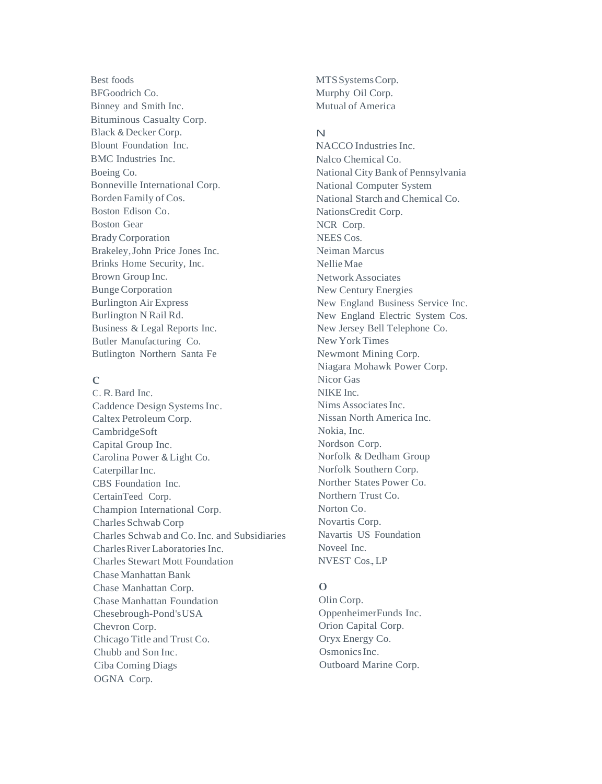Best foods BFGoodrich Co. Binney and Smith Inc. Bituminous Casualty Corp. Black & Decker Corp. Blount Foundation Inc. BMC Industries Inc. Boeing Co. Bonneville International Corp. Borden Family of Cos. Boston Edison Co. Boston Gear Brady Corporation Brakeley,John Price Jones Inc. Brinks Home Security, Inc. Brown Group Inc. Bunge Corporation Burlington Air Express Burlington N Rail Rd. Business & Legal Reports Inc. Butler Manufacturing Co. Butlington Northern Santa Fe

# $\mathcal{C}$

C. R.Bard Inc. Caddence Design Systems Inc. Caltex Petroleum Corp. CambridgeSoft Capital Group Inc. Carolina Power & Light Co. Caterpillar Inc. CBS Foundation Inc. CertainTeed Corp. Champion International Corp. Charles Schwab Corp Charles Schwab and Co. Inc. and Subsidiaries CharlesRiver Laboratories Inc. Charles Stewart Mott Foundation Chase Manhattan Bank Chase Manhattan Corp. Chase Manhattan Foundation Chesebrough-Pond'sUSA Chevron Corp. Chicago Title and Trust Co. Chubb and Son Inc. Ciba Coming Diags OGNA Corp.

MTSSystemsCorp. Murphy Oil Corp. Mutual of America

# N

NACCO Industries Inc. Nalco Chemical Co. National City Bank of Pennsylvania National Computer System National Starch and Chemical Co. NationsCredit Corp. NCR Corp. NEES Cos. Neiman Marcus Nellie Mae Network Associates New Century Energies New England Business Service Inc. New England Electric System Cos. New Jersey Bell Telephone Co. New York Times Newmont Mining Corp. Niagara Mohawk Power Corp. Nicor Gas NIKE Inc. Nims Associates Inc. Nissan North America Inc. Nokia, Inc. Nordson Corp. Norfolk & Dedham Group Norfolk Southern Corp. Norther States Power Co. Northern Trust Co. Norton Co. Novartis Corp. Navartis US Foundation Noveel Inc. NVEST Cos., LP

# $\Omega$

Olin Corp. OppenheimerFunds Inc. Orion Capital Corp. Oryx Energy Co. OsmonicsInc. Outboard Marine Corp.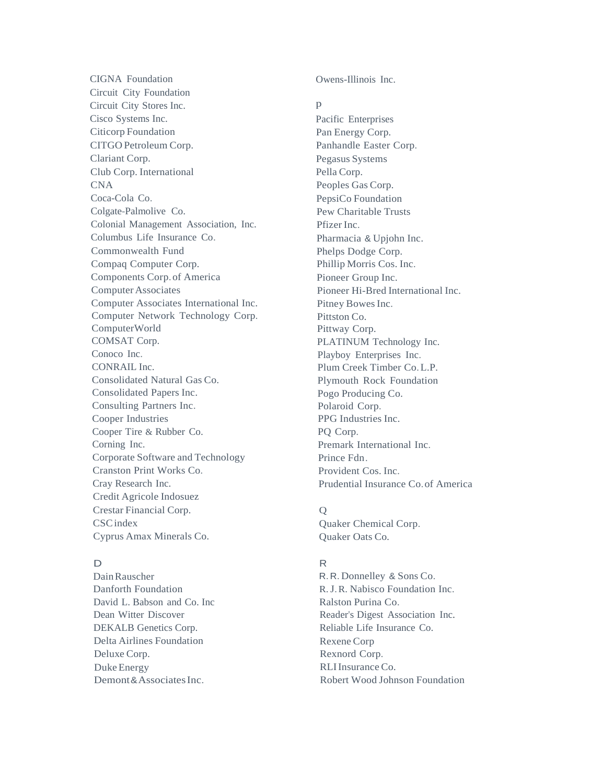CIGNA Foundation Circuit City Foundation Circuit City Stores Inc. Cisco Systems Inc. Citicorp Foundation CITGO Petroleum Corp. Clariant Corp. Club Corp. International CNA Coca-Cola Co. Colgate-Palmolive Co. Colonial Management Association, Inc. Columbus Life Insurance Co. Commonwealth Fund Compaq Computer Corp. Components Corp.of America ComputerAssociates Computer Associates International Inc. Computer Network Technology Corp. ComputerWorld COMSAT Corp. Conoco Inc. CONRAIL Inc. Consolidated Natural Gas Co. Consolidated Papers Inc. Consulting Partners Inc. Cooper Industries Cooper Tire & Rubber Co. Corning Inc. Corporate Software and Technology Cranston Print Works Co. Cray Research Inc. Credit Agricole Indosuez Crestar Financial Corp. **CSC**index Cyprus Amax Minerals Co.

# D

DainRauscher Danforth Foundation David L. Babson and Co. Inc Dean Witter Discover DEKALB Genetics Corp. Delta Airlines Foundation Deluxe Corp. Duke Energy Demont & Associates Inc.

Owens-Illinois Inc.

#### $\mathbf{D}$

Pacific Enterprises Pan Energy Corp. Panhandle Easter Corp. Pegasus Systems Pella Corp. Peoples Gas Corp. PepsiCo Foundation Pew Charitable Trusts Pfizer Inc. Pharmacia & Upjohn Inc. Phelps Dodge Corp. Phillip Morris Cos. Inc. Pioneer Group Inc. Pioneer Hi-Bred International Inc. Pitney Bowes Inc. Pittston Co. Pittway Corp. PLATINUM Technology Inc. Playboy Enterprises Inc. Plum Creek Timber Co.L.P. Plymouth Rock Foundation Pogo Producing Co. Polaroid Corp. PPG Industries Inc. PQ Corp. Premark International Inc. Prince Fdn. Provident Cos. Inc. Prudential Insurance Co.of America

# $\overline{O}$

Quaker Chemical Corp. Quaker Oats Co.

# R

R. R. Donnelley & Sons Co. R.J.R. Nabisco Foundation Inc. Ralston Purina Co. Reader's Digest Association Inc. Reliable Life Insurance Co. Rexene Corp Rexnord Corp. RLI Insurance Co. Robert Wood Johnson Foundation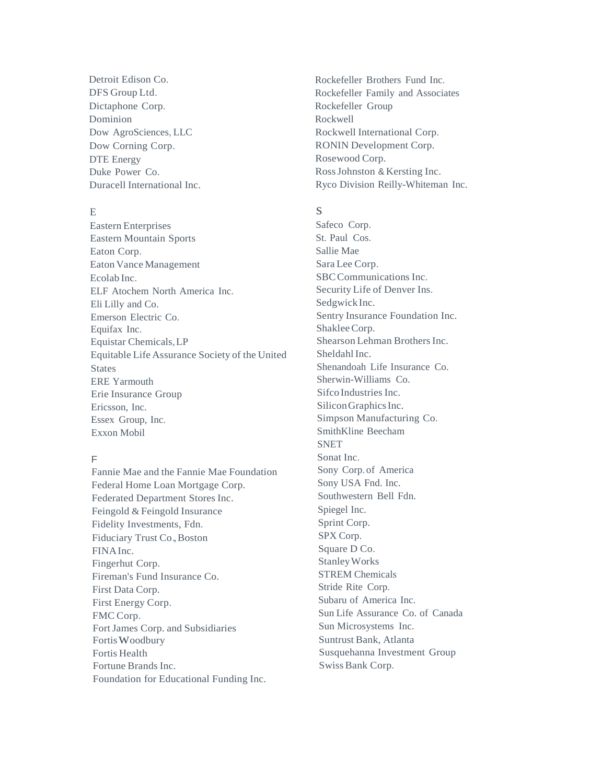Detroit Edison Co. DFS Group Ltd. Dictaphone Corp. Dominion Dow AgroSciences, LLC Dow Corning Corp. DTE Energy Duke Power Co. Duracell International Inc.

# E

Eastern Enterprises Eastern Mountain Sports Eaton Corp. Eaton Vance Management Ecolab Inc. ELF Atochem North America Inc. Eli Lilly and Co. Emerson Electric Co. Equifax Inc. Equistar Chemicals,LP Equitable Life Assurance Society of the United **States** ERE Yarmouth Erie Insurance Group Ericsson, Inc. Essex Group, Inc. Exxon Mobil

# F

Fannie Mae and the Fannie Mae Foundation Federal Home Loan Mortgage Corp. Federated Department Stores Inc. Feingold & Feingold Insurance Fidelity Investments, Fdn. Fiduciary Trust Co.,Boston FINAInc. Fingerhut Corp. Fireman's Fund Insurance Co. First Data Corp. First Energy Corp. FMC Corp. FortJames Corp. and Subsidiaries Fortis Woodbury Fortis Health Fortune Brands Inc. Foundation for Educational Funding Inc.

Rockefeller Brothers Fund Inc. Rockefeller Family and Associates Rockefeller Group Rockwell Rockwell International Corp. RONIN Development Corp. Rosewood Corp. RossJohnston & Kersting Inc. Ryco Division Reilly-Whiteman Inc.

#### s

Safeco Corp. St. Paul Cos. Sallie Mae Sara Lee Corp. SBCCommunications Inc. Security Life of Denver Ins. SedgwickInc. Sentry Insurance Foundation Inc. ShakleeCorp. Shearson Lehman Brothers Inc. Sheldahl Inc. Shenandoah Life Insurance Co. Sherwin-Williams Co. Sifco Industries Inc. SiliconGraphicsInc. Simpson Manufacturing Co. SmithKline Beecham **SNET** Sonat Inc. Sony Corp. of America Sony USA Fnd. Inc. Southwestern Bell Fdn. Spiegel Inc. Sprint Corp. SPX Corp. Square D Co. StanleyWorks STREM Chemicals Stride Rite Corp. Subaru of America Inc. Sun Life Assurance Co. of Canada Sun Microsystems Inc. Suntrust Bank, Atlanta Susquehanna Investment Group Swiss Bank Corp.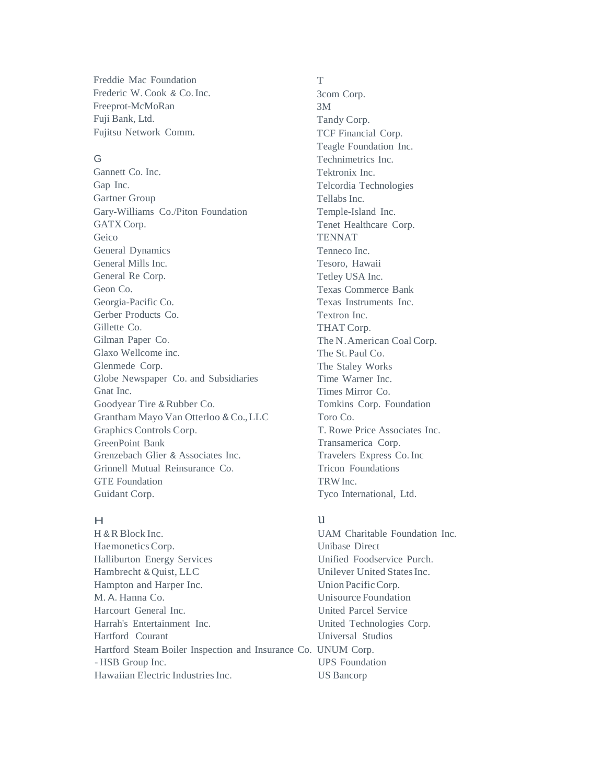Freddie Mac Foundation Frederic W. Cook & Co.Inc. Freeprot-McMoRan Fuji Bank, Ltd. Fujitsu Network Comm.

# G

Gannett Co. Inc. Gap Inc. Gartner Group Gary-Williams Co./Piton Foundation GATX Corp. Geico General Dynamics General Mills Inc. General Re Corp. Geon Co. Georgia-Pacific Co. Gerber Products Co. Gillette Co. Gilman Paper Co. Glaxo Wellcome inc. Glenmede Corp. Globe Newspaper Co. and Subsidiaries Gnat Inc. Goodyear Tire & Rubber Co. Grantham Mayo Van Otterloo & Co.,LLC Graphics Controls Corp. GreenPoint Bank Grenzebach Glier & Associates Inc. Grinnell Mutual Reinsurance Co. GTE Foundation Guidant Corp.

# $\overline{H}$

H & R Block Inc. HaemoneticsCorp. Unibase Direct Halliburton Energy Services Unified Foodservice Purch. Hambrecht & Quist, LLC Unilever United States Inc. Hampton and Harper Inc. Union Pacific Corp. M. A. Hanna Co. Unisource Foundation Harcourt General Inc. United Parcel Service Harrah's Entertainment Inc. United Technologies Corp. Hartford Courant Universal Studios Hartford Steam Boiler Inspection and Insurance Co. UNUM Corp. - HSB Group Inc. UPS Foundation Hawaiian Electric Industries Inc. US Bancorp

### T

3com Corp. 3M Tandy Corp. TCF Financial Corp. Teagle Foundation Inc. Technimetrics Inc. Tektronix Inc. Telcordia Technologies Tellabs Inc. Temple-Island Inc. Tenet Healthcare Corp. **TENNAT** Tenneco Inc. Tesoro, Hawaii Tetley USA Inc. Texas Commerce Bank Texas Instruments Inc. Textron Inc. THAT Corp. The N.American Coal Corp. The St.Paul Co. The Staley Works Time Warner Inc. Times Mirror Co. Tomkins Corp. Foundation Toro Co. T. Rowe Price Associates Inc. Transamerica Corp. Travelers Express Co.Inc Tricon Foundations TRWInc. Tyco International, Ltd.

# u

UAM Charitable Foundation Inc.